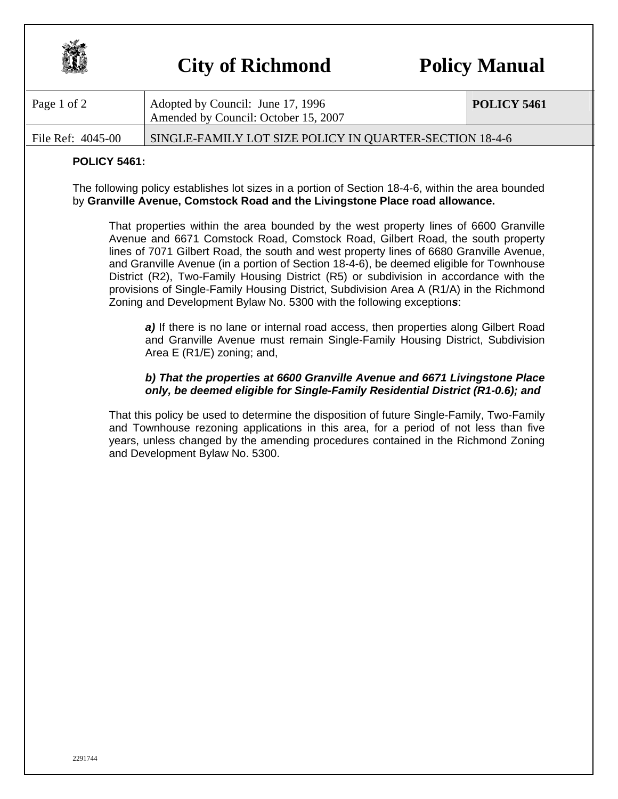

## **City of Richmond Policy Manual**

| Page 1 of 2       | Adopted by Council: June 17, 1996<br>Amended by Council: October 15, 2007 | POLICY 5461 |
|-------------------|---------------------------------------------------------------------------|-------------|
| File Ref: 4045-00 | SINGLE-FAMILY LOT SIZE POLICY IN QUARTER-SECTION 18-4-6                   |             |

## **POLICY 5461:**

The following policy establishes lot sizes in a portion of Section 18-4-6, within the area bounded by **Granville Avenue, Comstock Road and the Livingstone Place road allowance.**

That properties within the area bounded by the west property lines of 6600 Granville Avenue and 6671 Comstock Road, Comstock Road, Gilbert Road, the south property lines of 7071 Gilbert Road, the south and west property lines of 6680 Granville Avenue, and Granville Avenue (in a portion of Section 18-4-6), be deemed eligible for Townhouse District (R2), Two-Family Housing District (R5) or subdivision in accordance with the provisions of Single-Family Housing District, Subdivision Area A (R1/A) in the Richmond Zoning and Development Bylaw No. 5300 with the following exception*s*:

*a)* If there is no lane or internal road access, then properties along Gilbert Road and Granville Avenue must remain Single-Family Housing District, Subdivision Area E (R1/E) zoning; and,

## *b) That the properties at 6600 Granville Avenue and 6671 Livingstone Place only, be deemed eligible for Single-Family Residential District (R1-0.6); and*

That this policy be used to determine the disposition of future Single-Family, Two-Family and Townhouse rezoning applications in this area, for a period of not less than five years, unless changed by the amending procedures contained in the Richmond Zoning and Development Bylaw No. 5300.